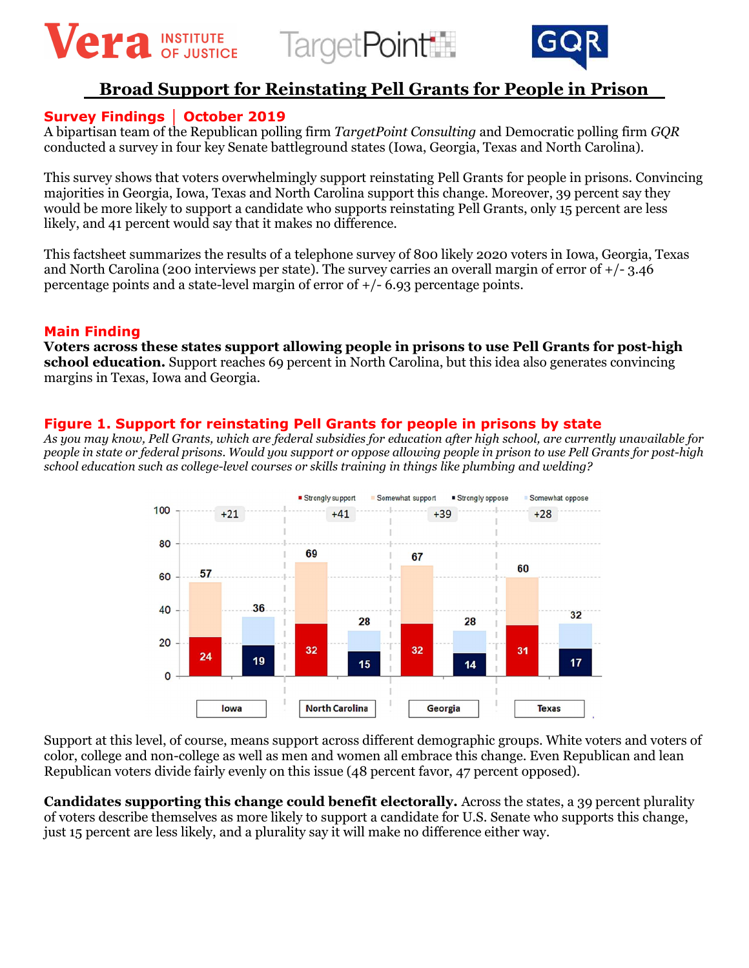





# Broad Support for Reinstating Pell Grants for People in Prison

## Survey Findings │ October 2019

A bipartisan team of the Republican polling firm TargetPoint Consulting and Democratic polling firm GQR conducted a survey in four key Senate battleground states (Iowa, Georgia, Texas and North Carolina).

This survey shows that voters overwhelmingly support reinstating Pell Grants for people in prisons. Convincing majorities in Georgia, Iowa, Texas and North Carolina support this change. Moreover, 39 percent say they would be more likely to support a candidate who supports reinstating Pell Grants, only 15 percent are less likely, and 41 percent would say that it makes no difference.

This factsheet summarizes the results of a telephone survey of 800 likely 2020 voters in Iowa, Georgia, Texas and North Carolina (200 interviews per state). The survey carries an overall margin of error of +/- 3.46 percentage points and a state-level margin of error of +/- 6.93 percentage points.

#### Main Finding

Voters across these states support allowing people in prisons to use Pell Grants for post-high school education. Support reaches 69 percent in North Carolina, but this idea also generates convincing margins in Texas, Iowa and Georgia.

### Figure 1. Support for reinstating Pell Grants for people in prisons by state

As you may know, Pell Grants, which are federal subsidies for education after high school, are currently unavailable for people in state or federal prisons. Would you support or oppose allowing people in prison to use Pell Grants for post-high school education such as college-level courses or skills training in things like plumbing and welding?



Support at this level, of course, means support across different demographic groups. White voters and voters of color, college and non-college as well as men and women all embrace this change. Even Republican and lean Republican voters divide fairly evenly on this issue (48 percent favor, 47 percent opposed).

Candidates supporting this change could benefit electorally. Across the states, a 39 percent plurality of voters describe themselves as more likely to support a candidate for U.S. Senate who supports this change, just 15 percent are less likely, and a plurality say it will make no difference either way.